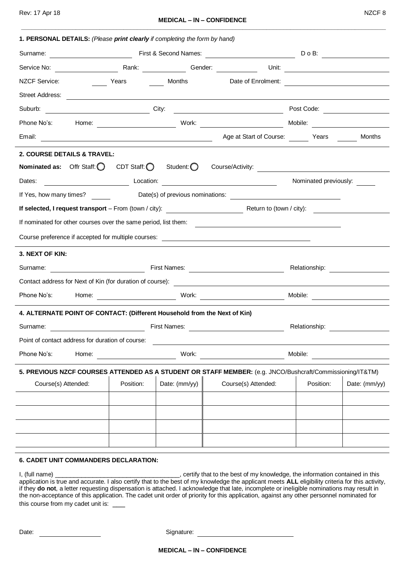| 1. PERSONAL DETAILS: (Please print clearly if completing the form by hand)                                |                                     |               |                                      |                                                                                                                                                                                                                                |               |  |
|-----------------------------------------------------------------------------------------------------------|-------------------------------------|---------------|--------------------------------------|--------------------------------------------------------------------------------------------------------------------------------------------------------------------------------------------------------------------------------|---------------|--|
| Surname:                                                                                                  |                                     |               |                                      | Do B: Calculation Contract Prince Contract Prince Contract Prince Contract Prince Contract Prince Contract Prince Contract Prince Contract Prince Contract Prince Contract Prince Contract Prince Contract Prince Contract Pri |               |  |
|                                                                                                           |                                     |               |                                      |                                                                                                                                                                                                                                |               |  |
| <b>NZCF Service:</b>                                                                                      | <b>Example 2019</b> Years           |               |                                      |                                                                                                                                                                                                                                |               |  |
| Street Address:                                                                                           |                                     |               |                                      |                                                                                                                                                                                                                                |               |  |
| Suburb: City:                                                                                             |                                     |               |                                      |                                                                                                                                                                                                                                |               |  |
|                                                                                                           |                                     |               |                                      |                                                                                                                                                                                                                                |               |  |
|                                                                                                           |                                     |               | Age at Start of Course: Years Months |                                                                                                                                                                                                                                |               |  |
| 2. COURSE DETAILS & TRAVEL:                                                                               |                                     |               |                                      |                                                                                                                                                                                                                                |               |  |
| <b>Nominated as:</b> Offr Staff: $\bigcirc$ CDT Staff: $\bigcirc$ Student: $\bigcirc$                     |                                     |               | Course/Activity:                     |                                                                                                                                                                                                                                |               |  |
| Location:<br>Dates:                                                                                       |                                     |               |                                      | Nominated previously:                                                                                                                                                                                                          |               |  |
|                                                                                                           |                                     |               |                                      |                                                                                                                                                                                                                                |               |  |
|                                                                                                           |                                     |               |                                      |                                                                                                                                                                                                                                |               |  |
| If nominated for other courses over the same period, list them:                                           |                                     |               |                                      |                                                                                                                                                                                                                                |               |  |
|                                                                                                           |                                     |               |                                      |                                                                                                                                                                                                                                |               |  |
| 3. NEXT OF KIN:                                                                                           |                                     |               |                                      |                                                                                                                                                                                                                                |               |  |
|                                                                                                           | Relationship: <u>______________</u> |               |                                      |                                                                                                                                                                                                                                |               |  |
| Contact address for Next of Kin (for duration of course): ______________________                          |                                     |               |                                      |                                                                                                                                                                                                                                |               |  |
| Phone No's:                                                                                               |                                     |               |                                      |                                                                                                                                                                                                                                |               |  |
| 4. ALTERNATE POINT OF CONTACT: (Different Household from the Next of Kin)                                 |                                     |               |                                      |                                                                                                                                                                                                                                |               |  |
| <u> 1980 - Johann Barbara, martxa a</u><br>Surname:                                                       |                                     | First Names:  |                                      | Relationship:                                                                                                                                                                                                                  |               |  |
| Point of contact address for duration of course:                                                          |                                     |               |                                      |                                                                                                                                                                                                                                |               |  |
| Phone No's:<br>Home:                                                                                      |                                     | Work:         |                                      | Mobile:                                                                                                                                                                                                                        |               |  |
| 5. PREVIOUS NZCF COURSES ATTENDED AS A STUDENT OR STAFF MEMBER: (e.g. JNCO/Bushcraft/Commissioning/IT&TM) |                                     |               |                                      |                                                                                                                                                                                                                                |               |  |
| Course(s) Attended:                                                                                       | Position:                           | Date: (mm/yy) | Course(s) Attended:                  | Position:                                                                                                                                                                                                                      | Date: (mm/yy) |  |
|                                                                                                           |                                     |               |                                      |                                                                                                                                                                                                                                |               |  |
|                                                                                                           |                                     |               |                                      |                                                                                                                                                                                                                                |               |  |
|                                                                                                           |                                     |               |                                      |                                                                                                                                                                                                                                |               |  |
|                                                                                                           |                                     |               |                                      |                                                                                                                                                                                                                                |               |  |
|                                                                                                           |                                     |               |                                      |                                                                                                                                                                                                                                |               |  |

## **6. CADET UNIT COMMANDERS DECLARATION:**

I, (full name) \_\_\_\_\_\_\_\_\_\_\_\_\_\_\_\_\_\_\_\_\_\_\_\_\_\_\_\_\_\_\_\_\_, certify that to the best of my knowledge, the information contained in this application is true and accurate. I also certify that to the best of my knowledge the applicant meets **ALL** eligibility criteria for this activity, if they **do not**, a letter requesting dispensation is attached. I acknowledge that late, incomplete or ineligible nominations may result in the non-acceptance of this application. The cadet unit order of priority for this application, against any other personnel nominated for this course from my cadet unit is:

Date: Signature: Signature: Signature: Signature: Signature: Signature: Signature: Signature: Signature: Signature: Signature: Signature: Signature: Signature: Signature: Signature: Signature: Signature: Signature: Signatu